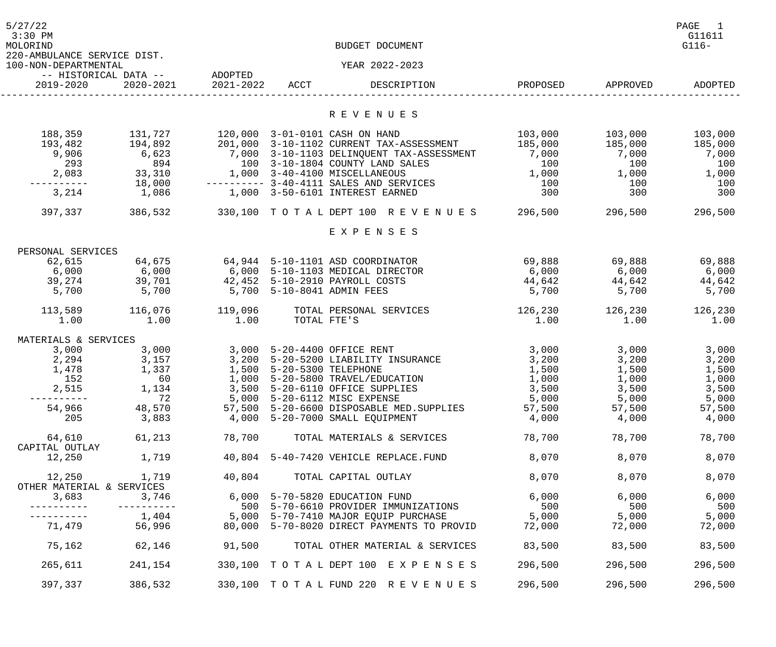| 5/27/22<br>$3:30$ PM<br>MOLORIND                    | BUDGET DOCUMENT |                      |                           |                                            |          |          |         |
|-----------------------------------------------------|-----------------|----------------------|---------------------------|--------------------------------------------|----------|----------|---------|
| 220-AMBULANCE SERVICE DIST.<br>100-NON-DEPARTMENTAL |                 |                      |                           | YEAR 2022-2023                             |          |          |         |
| -- HISTORICAL DATA --<br>2019-2020                  | 2020-2021       | ADOPTED<br>2021-2022 | ACCT                      | DESCRIPTION                                | PROPOSED | APPROVED | ADOPTED |
|                                                     |                 |                      |                           | R E V E N U E S                            |          |          |         |
| 188,359                                             | 131,727         |                      |                           | 120,000 3-01-0101 CASH ON HAND             | 103,000  | 103,000  | 103,000 |
| 193,482                                             | 194,892         |                      |                           | 201,000 3-10-1102 CURRENT TAX-ASSESSMENT   | 185,000  | 185,000  | 185,000 |
| 9,906                                               | 6,623           |                      |                           | 7,000 3-10-1103 DELINQUENT TAX-ASSESSMENT  | 7,000    | 7,000    | 7,000   |
| 293                                                 | 894             |                      |                           | 100 3-10-1804 COUNTY LAND SALES            | 100      | 100      | 100     |
| 2,083                                               | 33,310          |                      |                           | 1,000 3-40-4100 MISCELLANEOUS              | 1,000    | 1,000    | 1,000   |
| ----------                                          | 18,000          |                      |                           | ---------- 3-40-4111 SALES AND SERVICES    | 100      | 100      | 100     |
| 3,214                                               | 1,086           |                      |                           | 1,000 3-50-6101 INTEREST EARNED            | 300      | 300      | 300     |
| 397,337                                             | 386,532         |                      |                           | 330,100 TOTAL DEPT 100 REVENUES            | 296,500  | 296,500  | 296,500 |
|                                                     |                 |                      |                           | EXPENSES                                   |          |          |         |
| PERSONAL SERVICES                                   |                 |                      |                           |                                            |          |          |         |
| 62,615                                              | 64,675          |                      |                           | 64,944 5-10-1101 ASD COORDINATOR           | 69,888   | 69,888   | 69,888  |
| 6,000                                               | 6,000           |                      |                           | 6,000 5-10-1103 MEDICAL DIRECTOR           | 6,000    | 6,000    | 6,000   |
| 39,274                                              | 39,701          |                      |                           | 42,452 5-10-2910 PAYROLL COSTS             | 44,642   | 44,642   | 44,642  |
| 5,700                                               | 5,700           |                      |                           | 5,700 5-10-8041 ADMIN FEES                 | 5,700    | 5,700    | 5,700   |
| 113,589                                             | 116,076         | 119,096              |                           | TOTAL PERSONAL SERVICES                    | 126,230  | 126,230  | 126,230 |
| 1.00                                                | 1.00            | 1.00                 | TOTAL FTE'S               |                                            | 1.00     | 1.00     | 1.00    |
| MATERIALS & SERVICES                                |                 |                      |                           |                                            |          |          |         |
| 3,000                                               | 3,000           |                      |                           | 3,000 5-20-4400 OFFICE RENT                | 3,000    | 3,000    | 3,000   |
| 2,294                                               | 3,157           |                      |                           | 3,200 5-20-5200 LIABILITY INSURANCE        | 3,200    | 3,200    | 3,200   |
| 1,478                                               | 1,337           |                      | 1,500 5-20-5300 TELEPHONE |                                            | 1,500    | 1,500    | 1,500   |
| 152                                                 | 60              | 1,000                |                           | 5-20-5800 TRAVEL/EDUCATION                 | 1,000    | 1,000    | 1,000   |
| 2,515                                               | 1,134           |                      |                           | 3,500 5-20-6110 OFFICE SUPPLIES            | 3,500    | 3,500    | 3,500   |
|                                                     | 72              | 5,000                |                           | 5-20-6112 MISC EXPENSE                     | 5,000    | 5,000    | 5,000   |
| 54,966                                              | 48,570          |                      |                           | 57,500 5-20-6600 DISPOSABLE MED.SUPPLIES   | 57,500   | 57,500   | 57,500  |
| 205                                                 | 3,883           |                      |                           | 4,000 5-20-7000 SMALL EQUIPMENT            | 4,000    | 4,000    | 4,000   |
| 64,610<br>CAPITAL OUTLAY                            | 61,213          | 78,700               |                           | TOTAL MATERIALS & SERVICES                 | 78,700   | 78,700   | 78,700  |
| 12,250                                              | 1,719           |                      |                           | 40,804 5-40-7420 VEHICLE REPLACE.FUND      | 8,070    | 8,070    | 8,070   |
| 12,250                                              | 1,719           | 40,804               |                           | TOTAL CAPITAL OUTLAY                       | 8,070    | 8,070    | 8,070   |
| OTHER MATERIAL & SERVICES                           |                 |                      |                           | 6,000 5-70-5820 EDUCATION FUND             | 6,000    | 6,000    | 6,000   |
| 3,683                                               | 3,746           |                      |                           | 500 5-70-6610 PROVIDER IMMUNIZATIONS       | 500      | 500      | 500     |
|                                                     | 1,404           |                      |                           | 5,000 5-70-7410 MAJOR EQUIP PURCHASE       | 5,000    | 5,000    | 5,000   |
| 71,479                                              | 56,996          |                      |                           | 80,000 5-70-8020 DIRECT PAYMENTS TO PROVID | 72,000   | 72,000   | 72,000  |
| 75,162                                              | 62,146          | 91,500               |                           | TOTAL OTHER MATERIAL & SERVICES            | 83,500   | 83,500   | 83,500  |
| 265,611                                             | 241,154         |                      |                           | 330,100 TOTAL DEPT 100 EXPENSES            | 296,500  | 296,500  | 296,500 |
| 397,337                                             | 386,532         |                      |                           | 330,100 TOTAL FUND 220 REVENUES            | 296,500  | 296,500  | 296,500 |